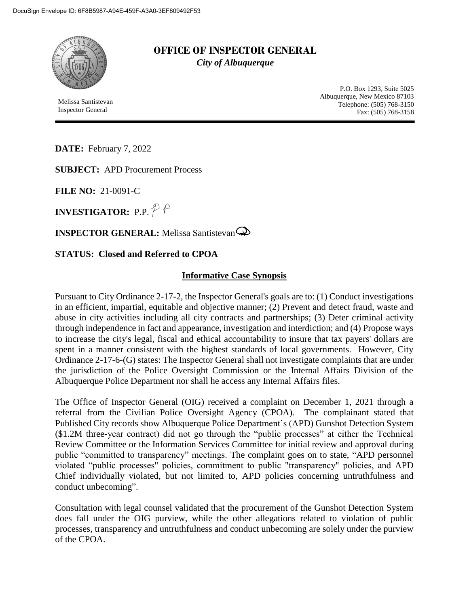

**OFFICE OF INSPECTOR GENERAL** *City of Albuquerque*

Melissa Santistevan Inspector General

P.O. Box 1293, Suite 5025 Albuquerque, New Mexico 87103 Telephone: (505) 768-3150 Fax: (505) 768-3158

**DATE:** February 7, 2022

**SUBJECT:** APD Procurement Process

**FILE NO:** 21-0091-C

**INVESTIGATOR:** P.P.  $\mathbb{P}\mathbb{P}$ 

**INSPECTOR GENERAL:** Melissa Santistevan

## **STATUS: Closed and Referred to CPOA**

## **Informative Case Synopsis**

Pursuant to City Ordinance 2-17-2, the Inspector General's goals are to: (1) Conduct investigations in an efficient, impartial, equitable and objective manner; (2) Prevent and detect fraud, waste and abuse in city activities including all city contracts and partnerships; (3) Deter criminal activity through independence in fact and appearance, investigation and interdiction; and (4) Propose ways to increase the city's legal, fiscal and ethical accountability to insure that tax payers' dollars are spent in a manner consistent with the highest standards of local governments. However, City Ordinance 2-17-6-(G) states: The Inspector General shall not investigate complaints that are under the jurisdiction of the Police Oversight Commission or the Internal Affairs Division of the Albuquerque Police Department nor shall he access any Internal Affairs files.

The Office of Inspector General (OIG) received a complaint on December 1, 2021 through a referral from the Civilian Police Oversight Agency (CPOA). The complainant stated that Published City records show Albuquerque Police Department's (APD) Gunshot Detection System (\$1.2M three-year contract) did not go through the "public processes" at either the Technical Review Committee or the Information Services Committee for initial review and approval during public "committed to transparency" meetings. The complaint goes on to state, "APD personnel violated "public processes" policies, commitment to public "transparency" policies, and APD Chief individually violated, but not limited to, APD policies concerning untruthfulness and conduct unbecoming".

Consultation with legal counsel validated that the procurement of the Gunshot Detection System does fall under the OIG purview, while the other allegations related to violation of public processes, transparency and untruthfulness and conduct unbecoming are solely under the purview of the CPOA.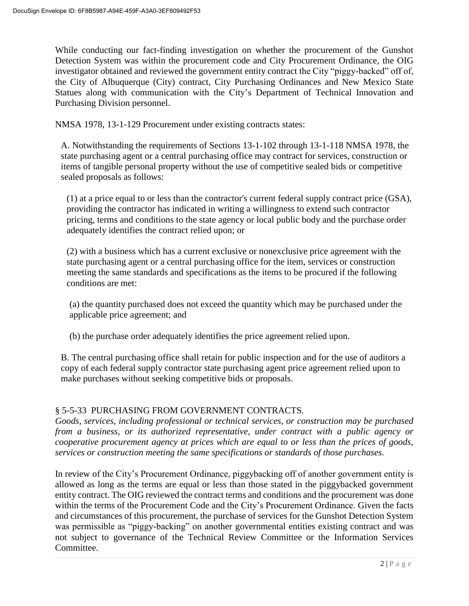While conducting our fact-finding investigation on whether the procurement of the Gunshot Detection System was within the procurement code and City Procurement Ordinance, the OIG investigator obtained and reviewed the government entity contract the City "piggy-backed" off of, the City of Albuquerque (City) contract, City Purchasing Ordinances and New Mexico State Statues along with communication with the City's Department of Technical Innovation and Purchasing Division personnel.

NMSA 1978, 13-1-129 Procurement under existing contracts states:

A. Notwithstanding the requirements of Sections 13-1-102 through 13-1-118 NMSA 1978, the state purchasing agent or a central purchasing office may contract for services, construction or items of tangible personal property without the use of competitive sealed bids or competitive sealed proposals as follows:

(1) at a price equal to or less than the contractor's current federal supply contract price (GSA), providing the contractor has indicated in writing a willingness to extend such contractor pricing, terms and conditions to the state agency or local public body and the purchase order adequately identifies the contract relied upon; or

(2) with a business which has a current exclusive or nonexclusive price agreement with the state purchasing agent or a central purchasing office for the item, services or construction meeting the same standards and specifications as the items to be procured if the following conditions are met:

(a) the quantity purchased does not exceed the quantity which may be purchased under the applicable price agreement; and

(b) the purchase order adequately identifies the price agreement relied upon.

B. The central purchasing office shall retain for public inspection and for the use of auditors a copy of each federal supply contractor state purchasing agent price agreement relied upon to make purchases without seeking competitive bids or proposals.

## § 5-5-33 PURCHASING FROM GOVERNMENT CONTRACTS.

*Goods, services, including professional or technical services, or construction may be purchased from a business, or its authorized representative, under contract with a public agency or cooperative procurement agency at prices which are equal to or less than the prices of goods, services or construction meeting the same specifications or standards of those purchases.*

In review of the City's Procurement Ordinance, piggybacking off of another government entity is allowed as long as the terms are equal or less than those stated in the piggybacked government entity contract. The OIG reviewed the contract terms and conditions and the procurement was done within the terms of the Procurement Code and the City's Procurement Ordinance. Given the facts and circumstances of this procurement, the purchase of services for the Gunshot Detection System was permissible as "piggy-backing" on another governmental entities existing contract and was not subject to governance of the Technical Review Committee or the Information Services Committee.